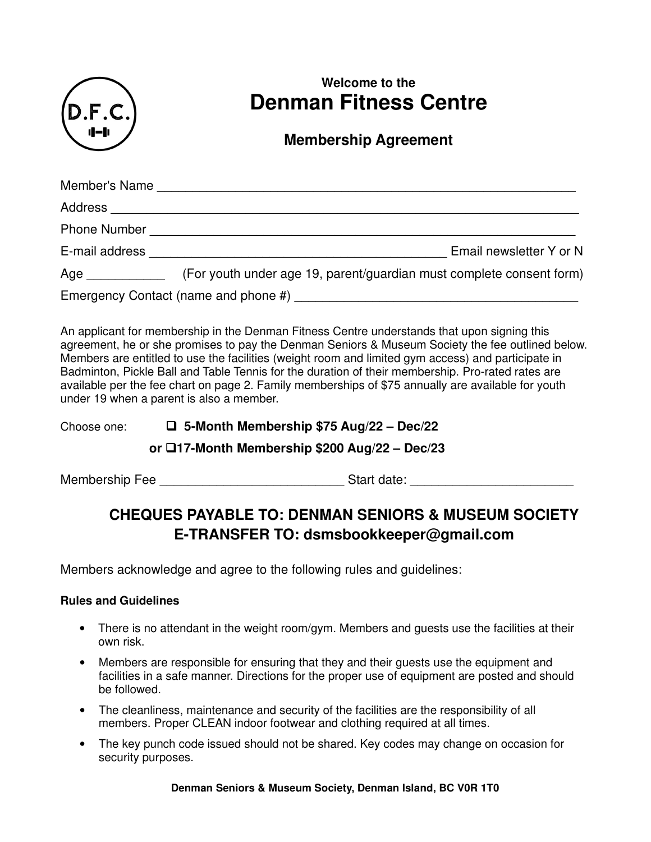

# **Welcome to the Denman Fitness Centre**

## **Membership Agreement**

| Member's Name       |                                                                      |
|---------------------|----------------------------------------------------------------------|
| Address             |                                                                      |
| <b>Phone Number</b> |                                                                      |
| E-mail address      | Email newsletter Y or N                                              |
| Age                 | (For youth under age 19, parent/guardian must complete consent form) |
|                     |                                                                      |

An applicant for membership in the Denman Fitness Centre understands that upon signing this agreement, he or she promises to pay the Denman Seniors & Museum Society the fee outlined below. Members are entitled to use the facilities (weight room and limited gym access) and participate in Badminton, Pickle Ball and Table Tennis for the duration of their membership. Pro-rated rates are available per the fee chart on page 2. Family memberships of \$75 annually are available for youth under 19 when a parent is also a member.

## Choose one:  **5-Month Membership \$75 Aug/22 – Dec/22**

## **or 17-Month Membership \$200 Aug/22 – Dec/23**

Membership Fee \_\_\_\_\_\_\_\_\_\_\_\_\_\_\_\_\_\_\_\_\_\_\_\_\_\_ Start date: \_\_\_\_\_\_\_\_\_\_\_\_\_\_\_\_\_\_\_\_\_\_\_

## **CHEQUES PAYABLE TO: DENMAN SENIORS & MUSEUM SOCIETY E-TRANSFER TO: dsmsbookkeeper@gmail.com**

Members acknowledge and agree to the following rules and guidelines:

### **Rules and Guidelines**

- There is no attendant in the weight room/gym. Members and quests use the facilities at their own risk.
- Members are responsible for ensuring that they and their guests use the equipment and facilities in a safe manner. Directions for the proper use of equipment are posted and should be followed.
- The cleanliness, maintenance and security of the facilities are the responsibility of all members. Proper CLEAN indoor footwear and clothing required at all times.
- The key punch code issued should not be shared. Key codes may change on occasion for security purposes.